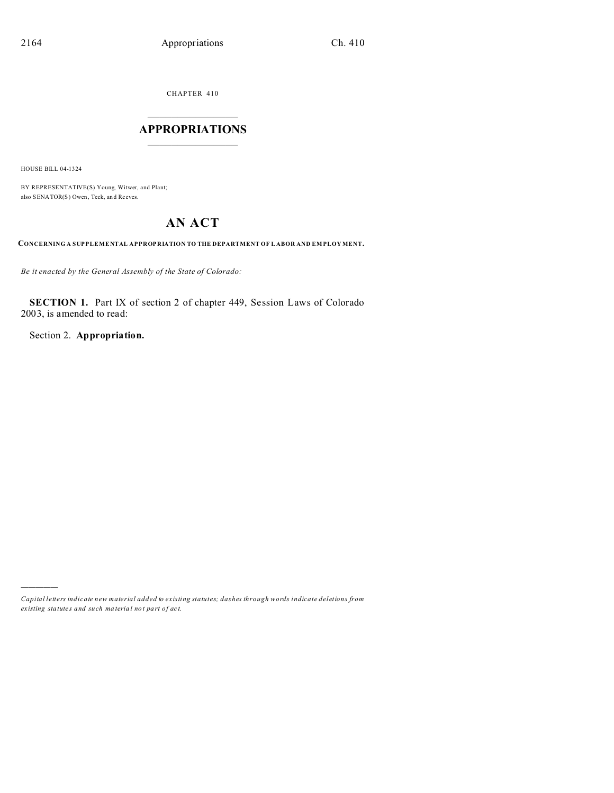CHAPTER 410

# $\overline{\phantom{a}}$  , where  $\overline{\phantom{a}}$ **APPROPRIATIONS**  $\_$   $\_$   $\_$   $\_$   $\_$   $\_$   $\_$   $\_$

HOUSE BILL 04-1324

)))))

BY REPRESENTATIVE(S) Young, Witwer, and Plant; also SENATOR(S) Owen, Teck, an d Reeves.

# **AN ACT**

**CONCERNING A SUPPLEMENTAL APPROPRIATION TO THE DEPARTMENT OF L ABOR AND EM PLOY MENT.**

*Be it enacted by the General Assembly of the State of Colorado:*

**SECTION 1.** Part IX of section 2 of chapter 449, Session Laws of Colorado 2003, is amended to read:

Section 2. **Appropriation.**

*Capital letters indicate new material added to existing statutes; dashes through words indicate deletions from ex isting statute s and such ma teria l no t pa rt of ac t.*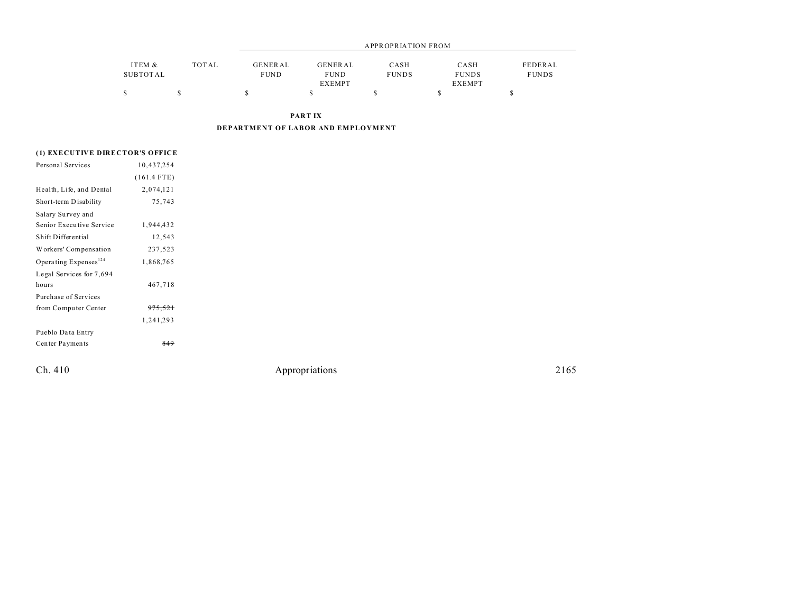|          |       |         |                | APPROPRIATION FROM |               |              |
|----------|-------|---------|----------------|--------------------|---------------|--------------|
| ITEM &   | TOTAL | GENERAL | <b>GENERAL</b> | CASH               | CASH          | FEDERAL      |
| SUBTOTAL |       | FUND    | <b>FUND</b>    | <b>FUNDS</b>       | <b>FUNDS</b>  | <b>FUNDS</b> |
|          |       |         | <b>EXEMPT</b>  |                    | <b>EXEMPT</b> |              |
|          |       |         |                |                    |               |              |

**PART IX**

**DEPARTMENT OF LABOR AND EMPLOYMENT**

# **(1) EXECUTIVE DIRECTOR'S OFFICE**

| Personal Services                 | 10,437,254         |  |
|-----------------------------------|--------------------|--|
|                                   | $(161.4$ FTE)      |  |
| Health, Life, and Dental          | 2,074,121          |  |
| Short-term Disability             | 75,743             |  |
| Salary Survey and                 |                    |  |
| Senior Executive Service          | 1,944,432          |  |
| Shift Differential                | 12,543             |  |
| Workers' Compensation             | 237,523            |  |
| Operating Expenses <sup>124</sup> | 1,868,765          |  |
| Legal Services for 7,694          |                    |  |
| hours                             | 467,718            |  |
| Purchase of Services              |                    |  |
| from Computer Center              | <del>975,521</del> |  |
|                                   | 1,241,293          |  |
| Pueblo Data Entry                 |                    |  |
| Center Payments                   | 849                |  |
|                                   |                    |  |
|                                   |                    |  |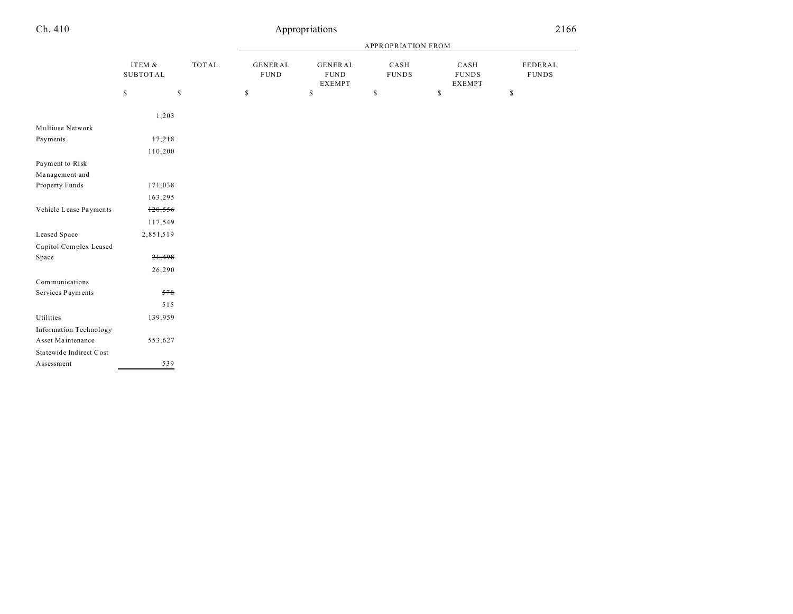#### APPROPRIATION FROM ITEM & SUBTOT AL TOT AL GENER AL FUND GENER AL FUND EXEMPT CASH FUNDS CASH FUNDS EXEMPT FEDERAL FUNDS  $\begin{array}{ccccccccccc} \texttt{S} & \texttt{S} & \texttt{S} & \texttt{S} & \texttt{S} & \texttt{S} & \texttt{S} & \texttt{S} & \texttt{S} & \texttt{S} & \texttt{S} & \texttt{S} & \texttt{S} & \texttt{S} & \texttt{S} & \texttt{S} & \texttt{S} & \texttt{S} & \texttt{S} & \texttt{S} & \texttt{S} & \texttt{S} & \texttt{S} & \texttt{S} & \texttt{S} & \texttt{S} & \texttt{S} & \texttt{S} & \texttt{S} & \texttt{S} & \$ Ch. 410 Appropriations 2166 1,203 Multiuse Network Payments 17,218 110,200 Payment to Risk Ma nagement and Property Funds 171,038 163,295

Vehicle Lease Payments 120,556

Leased Space 2,851,519

Space  $21,498$ 

Services Payments 578

Utilities 139,959

Asset Maintenance 553,627

Assessment 539

Capitol Complex Leased

Information Technology

Sta tewide Indirect Cost

Communications

117,549

26,290

515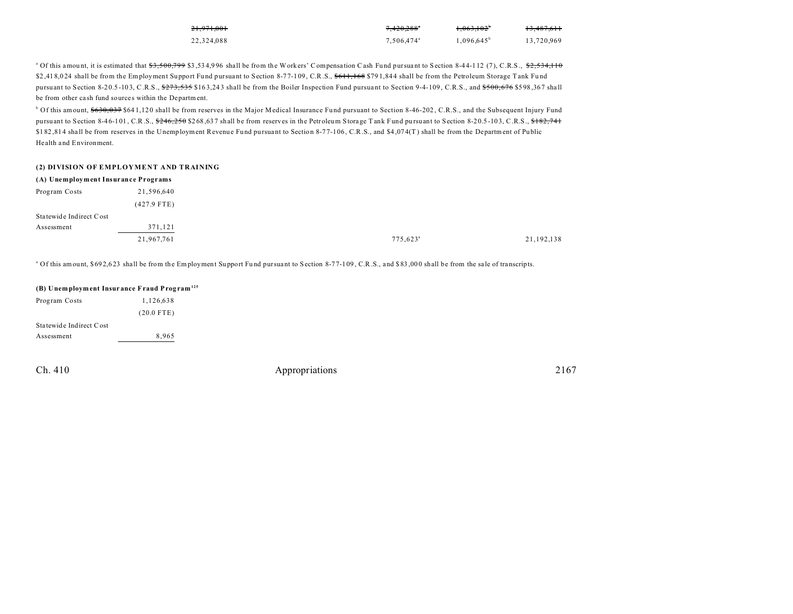| 21.971.001 | $7.420.288$ <sup>*</sup> | $1.063.102^*$       | 13.487.611 |
|------------|--------------------------|---------------------|------------|
| 22.324.088 | 7.506.474 <sup>a</sup>   | $1.096.645^{\circ}$ | 13.720.969 |

 $^{\circ}$  Of this amount, it is estimated that  $\$3,500,799$   $\$3,534,996$  shall be from the Workers' Compensation Cash Fund pursuant to Section 8-44-112 (7), C.R.S.,  $\$2,534,110$ \$2,41 8,0 24 shall be from the Employment Support Fund pursuant to Section 8-77-109, C.R.S., \$611,168 \$791,844 shall be from the Petroleum Storage Tank Fund pursuant to Section 8-20.5-103, C.R.S., \$273,535 \$163,243 shall be from the Boiler Inspection Fund pursuant to Section 9-4-109, C.R.S., and \$500,676 \$598,367 shall be from other ca sh fund sources within the Department.

 $\degree$  Of this amount,  $\$630,037$   $\$641,120$  shall be from reserves in the Major Medical Insurance Fund pursuant to Section 8-46-202, C.R.S., and the Subsequent Injury Fund pursuant to Section 8-46-101, C.R.S.,  $\frac{6246}{250}$  \$268,637 shall be from reserves in the Petroleum Storage Tank Fund pursuant to Section 8-20.5-103, C.R.S.,  $\frac{6182}{741}$ \$182,814 shall be from reserves in the Unemployment Revenue Fund pursuant to Section 8-77-106, C.R.S., and \$4,074(T) shall be from the Department of Public Health and Environment.

#### **(2) DIVISION OF EMPLOYMENT AND TRAINING**

| (A) Unemployment Insurance Programs |               |
|-------------------------------------|---------------|
| Program Costs                       | 21,596,640    |
|                                     | $(427.9$ FTE) |
| Statewide Indirect Cost             |               |
| Assessment                          | 371,121       |
|                                     | 21,967,761    |

<sup>a</sup> Of this amount, \$692,623 shall be from the Employment Support Fund pursuant to Section 8-77-109, C.R.S., and \$83,000 shall be from the sale of transcripts.

| (B) Unemployment Insurance Fraud Program <sup>125</sup> |              |
|---------------------------------------------------------|--------------|
| Program Costs                                           | 1.126.638    |
|                                                         | $(20.0$ FTE) |
| Statewide Indirect Cost                                 |              |
| Assessment                                              | 8,965        |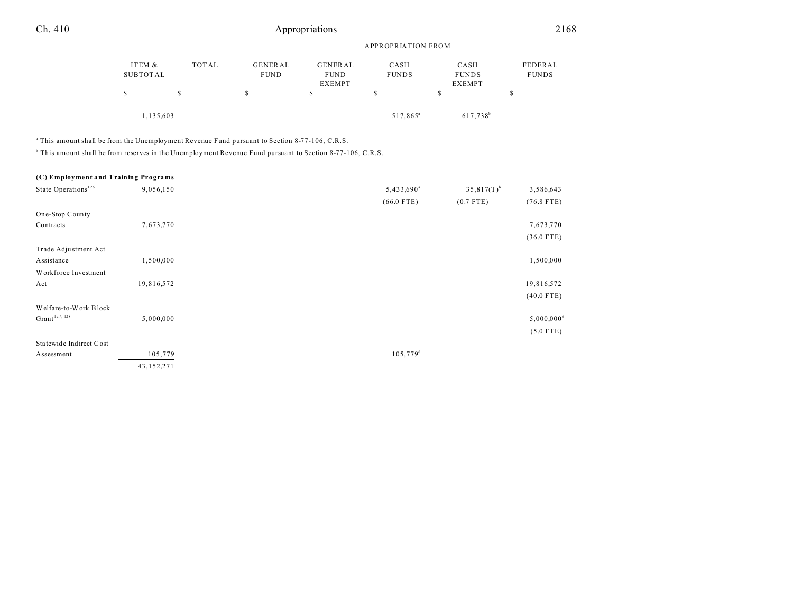# Ch. 410 Appropriations 2168

|                    |           |                               |                        | APPROPRIATION FROM   |                      |                         |
|--------------------|-----------|-------------------------------|------------------------|----------------------|----------------------|-------------------------|
| ITEM &<br>SUBTOTAL | TOTAL     | <b>GENERAL</b><br><b>FUND</b> | GENERAL<br><b>FUND</b> | CASH<br><b>FUNDS</b> | CASH<br><b>FUNDS</b> | FEDERAL<br><b>FUNDS</b> |
|                    |           |                               | <b>EXEMPT</b>          |                      | <b>EXEMPT</b>        |                         |
|                    | S         | S                             | S                      | \$                   |                      | \$                      |
|                    | 1,135,603 |                               |                        | 517,865 <sup>a</sup> | 617,738 <sup>b</sup> |                         |

a This amount shall be from the Unemployment Revenue Fund pursuant to Section 8-77-106, C.R.S.

b This amount shall be from reserves in the Unemployment Revenue Fund pursuant to Section 8-77-106, C.R.S.

| (C) Employment and Training Programs |  |  |
|--------------------------------------|--|--|
|--------------------------------------|--|--|

| State Operations <sup>126</sup> | 9,056,150    | 5,433,690 <sup>a</sup> | $35,817(T)^{b}$ | 3,586,643                |
|---------------------------------|--------------|------------------------|-----------------|--------------------------|
|                                 |              | $(66.0$ FTE)           | $(0.7$ FTE)     | $(76.8$ FTE)             |
| One-Stop County                 |              |                        |                 |                          |
| Contracts                       | 7,673,770    |                        |                 | 7,673,770                |
|                                 |              |                        |                 | $(36.0$ FTE)             |
| Trade Adjustment Act            |              |                        |                 |                          |
| Assistance                      | 1,500,000    |                        |                 | 1,500,000                |
| Workforce Investment            |              |                        |                 |                          |
| Act                             | 19,816,572   |                        |                 | 19,816,572               |
|                                 |              |                        |                 | $(40.0$ FTE)             |
| Welfare-to-Work Block           |              |                        |                 |                          |
| $G$ rant $127, 128$             | 5,000,000    |                        |                 | $5,000,000$ <sup>c</sup> |
|                                 |              |                        |                 | $(5.0$ FTE)              |
| Statewide Indirect Cost         |              |                        |                 |                          |
| Assessment                      | 105,779      | $105,779$ <sup>d</sup> |                 |                          |
|                                 | 43, 152, 271 |                        |                 |                          |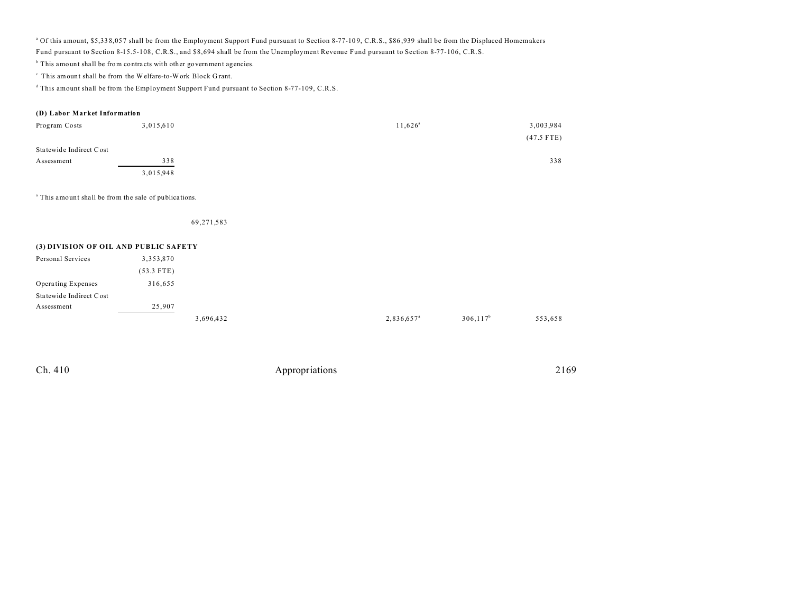<sup>a</sup> Of this amount, \$5,338,057 shall be from the Employment Support Fund pursuant to Section 8-77-109, C.R.S., \$86,939 shall be from the Displaced Homemakers Fund pursuant to Section 8-15.5-108, C.R.S., and \$8,694 shall be from the Unemployment Revenue Fund pursuant to Section 8-77-106, C.R.S.

<sup>b</sup> This amount shall be from contracts with other government agencies.

 $\,^{\circ}$  This amount shall be from the Welfare-to-Work Block Grant.

d This amount shall be from the Employment Support Fund pursuant to Section 8-77-109, C.R.S.

## **(D) Labor Market Information**

| Program Costs           | 3,015,610 | $11,626^{\circ}$ | 3,003,984    |
|-------------------------|-----------|------------------|--------------|
|                         |           |                  | $(47.5$ FTE) |
| Statewide Indirect Cost |           |                  |              |
| Assessment              | 338       |                  | 338          |
|                         | 3,015,948 |                  |              |

<sup>a</sup> This amount shall be from the sale of publications.

69,271,583

## **(3) DIVISION OF OIL AND PUBLIC SAFETY**

| Personal Services       | 3,353,870    |           |                        |              |         |
|-------------------------|--------------|-----------|------------------------|--------------|---------|
|                         | $(53.3$ FTE) |           |                        |              |         |
| Operating Expenses      | 316,655      |           |                        |              |         |
| Statewide Indirect Cost |              |           |                        |              |         |
| Assessment              | 25,907       |           |                        |              |         |
|                         |              | 3,696,432 | 2,836,657 <sup>a</sup> | $306, 117^b$ | 553,658 |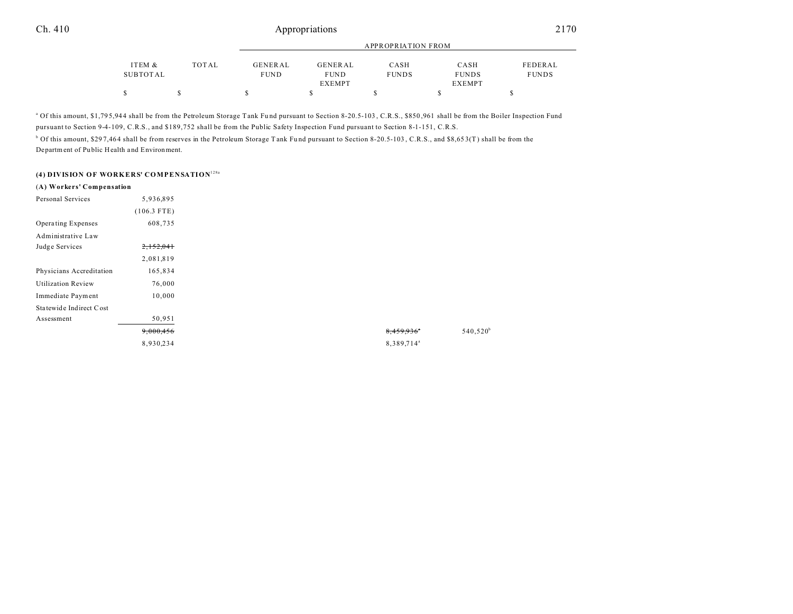# Ch. 410 Appropriations 2170

|          |       |             |               | APPROPRIATION FROM |               |              |
|----------|-------|-------------|---------------|--------------------|---------------|--------------|
| ITEM &   | TOTAL | GENERAL     | GENERAL       | CASH               | CASH          | FEDERAL      |
| SUBTOTAL |       | <b>FUND</b> | <b>FUND</b>   | <b>FUNDS</b>       | <b>FUNDS</b>  | <b>FUNDS</b> |
|          |       |             | <b>EXEMPT</b> |                    | <b>EXEMPT</b> |              |
|          |       |             |               |                    |               |              |

<sup>a</sup> Of this amount, \$1,795,944 shall be from the Petroleum Storage Tank Fund pursuant to Section 8-20.5-103, C.R.S., \$850,961 shall be from the Boiler Inspection Fund pursuant to Section 9-4-109, C.R.S., and \$189,752 shall be from the Public Safety Inspection Fund pursuant to Section 8-1-151, C.R.S.

<sup>b</sup> Of this amount, \$297,464 shall be from reserves in the Petroleum Storage Tank Fund pursuant to Section 8-20.5-103, C.R.S., and \$8,653(T) shall be from the Department of Pu blic Health and Environment.

# **(4) DIVISION OF WORKERS' COMPENSATION**128a

| (A) Workers' Compensation |               |
|---------------------------|---------------|
| Personal Services         | 5,936,895     |
|                           | $(106.3$ FTE) |
| Operating Expenses        | 608,735       |
| Administrative Law        |               |
| Judge Services            | 2,152,041     |
|                           | 2,081,819     |
| Physicians Accreditation  | 165,834       |
| <b>Utilization Review</b> | 76,000        |
| Immediate Payment         | 10,000        |
| Statewide Indirect Cost   |               |
| Assessment                | 50,951        |
|                           | 9,000,456     |
|                           | 8,930,234     |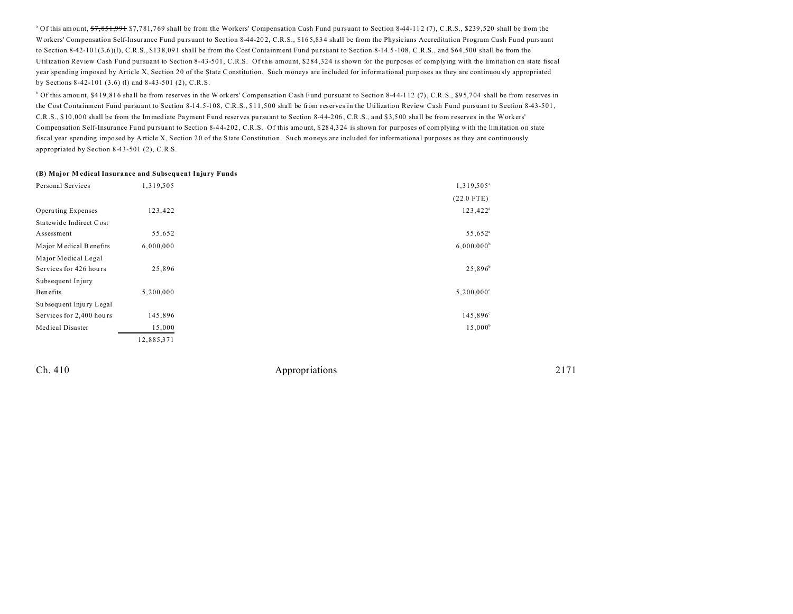<sup>a</sup> Of this amount, <del>\$7,851,991</del> \$7,781,769 shall be from the Workers' Compensation Cash Fund pursuant to Section 8-44-112 (7), C.R.S., \$239,520 shall be from the Workers' Compensation Self-Insurance Fund pursuant to Section 8-44-202, C.R.S., \$165,834 shall be from the Physicians Accreditation Program Cash Fund pursuant to Section 8-42-101(3.6)(1), C.R.S., \$138,091 shall be from the Cost Containment Fund pursuant to Section 8-14.5-108, C.R.S., and \$64,500 shall be from the Utilization Review Cash Fund pursuant to Section 8-43-501, C.R.S. Of this amount, \$284,324 is shown for the purposes of complying with the limitation on state fiscal year spending imposed by Article X, Section 20 of the State Constitution. Such moneys are included for informa tional purposes as they are continuou sly appropriated by Sections 8-42-101 (3.6) (l) and 8-43-501 (2), C.R.S.

<sup>b</sup> Of this amount, \$419,816 shall be from reserves in the Workers' Compensation Cash Fund pursuant to Section 8-44-112 (7), C.R.S., \$95,704 shall be from reserves in the Cost Containment Fund pursuant to Section 8-14.5-108, C.R.S., \$11,500 shall be from reserves in the Utilization Review Cash Fund pursuant to Section 8-43-501, C.R.S., \$ 10 ,00 0 shall be from the Immediate Payment Fund reserves pu rsuant to Section 8-4 4-2 06 , C.R.S., and \$ 3,5 00 shall be from reserves in the Work ers' Compensation Self-Insurance Fund pursuant to Section 8-44-202, C.R.S. Of this amount, \$284,324 is shown for purposes of complying with the limitation on state fiscal year spending imposed by Article X, Section 20 of the State Constitution. Such moneys are included for informational purposes as they are continuously appropriated by Section 8-43-501 (2), C.R.S.

#### **(B) Major M edical Insurance and Subsequent Injury Funds**

| Personal Services        | 1,319,505  | 1,319,505 <sup>a</sup>   |
|--------------------------|------------|--------------------------|
|                          |            | $(22.0$ FTE)             |
| Operating Expenses       | 123,422    | $123,422^a$              |
| Statewide Indirect Cost  |            |                          |
| Assessment               | 55,652     | 55,652 <sup>a</sup>      |
| Major Medical Benefits   | 6,000,000  | $6,000,000^b$            |
| Major Medical Legal      |            |                          |
| Services for 426 hours   | 25,896     | $25,896^b$               |
| Subsequent Injury        |            |                          |
| Benefits                 | 5,200,000  | $5,200,000$ <sup>c</sup> |
| Subsequent Injury Legal  |            |                          |
| Services for 2,400 hours | 145,896    | 145,896°                 |
| Medical Disaster         | 15,000     | $15,000^{\rm b}$         |
|                          | 12,885,371 |                          |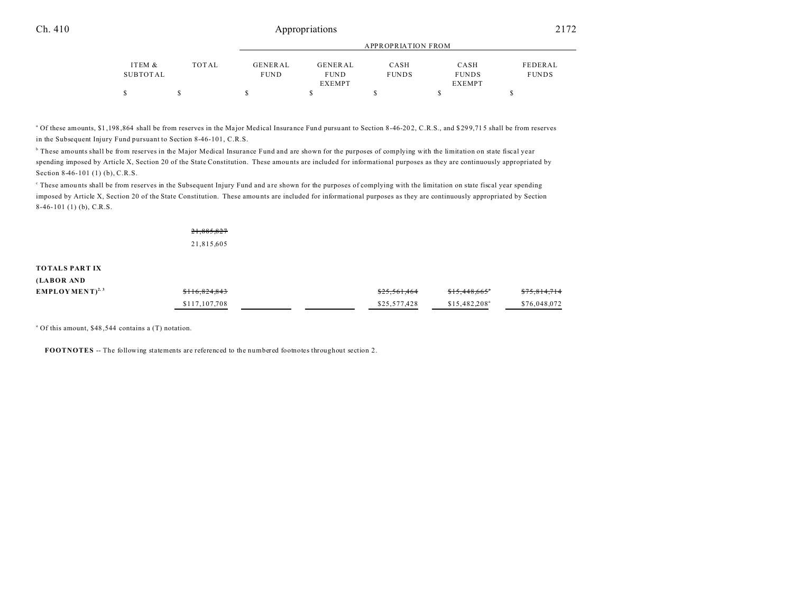# Ch. 410 Appropriations 2172

|          |       |             | APPROPRIATION FROM |              |               |              |  |
|----------|-------|-------------|--------------------|--------------|---------------|--------------|--|
| ITEM &   | TOTAL | GENERAL     | GENERAL            | CASH         | CASH          | FEDERAL      |  |
| SUBTOTAL |       | <b>FUND</b> | <b>FUND</b>        | <b>FUNDS</b> | <b>FUNDS</b>  | <b>FUNDS</b> |  |
|          |       |             | <b>EXEMPT</b>      |              | <b>EXEMPT</b> |              |  |
|          |       |             |                    |              |               |              |  |

<sup>a</sup> Of these amounts, \$1,198,864 shall be from reserves in the Major Medical Insurance Fund pursuant to Section 8-46-202, C.R.S., and \$299,715 shall be from reserves in the Subsequent Injury Fund pursuant to Section 8-46-101, C.R.S.

b These amounts shall be from reserves in the Major Medical Insurance Fund and are shown for the purposes of complying with the limitation on state fiscal year spending imposed by Article X, Section 20 of the State Constitution. These amou nts are included for informational purposes as they are continuously appropriated by Section 8-46-101 (1) (b), C.R.S.

These amounts shall be from reserves in the Subsequent Injury Fund and are shown for the purposes of complying with the limitation on state fiscal year spending imposed by Article X, Section 20 of the State Constitution. These amou nts are included for informational purposes as they are continuously appropriated by Section 8-46-101 (1) (b), C.R.S.

## 21,885,827 21,815,605

#### **TOTALS PART IX (LABOR AND**

| (LABOR AND         |               |                         |                            |              |
|--------------------|---------------|-------------------------|----------------------------|--------------|
| $EMPLOYMENT^{2,3}$ | \$116,824,843 | <del>\$25,561,464</del> | \$15.448.665"              | \$75,814,714 |
|                    | \$117,107,708 | \$25,577,428            | $$15.482.208$ <sup>a</sup> | \$76,048,072 |

a Of this amount, \$48 ,544 contains a (T) notation.

**FOOTNOTES** -- The following statements are referenced to the numbered footnotes throughout section 2.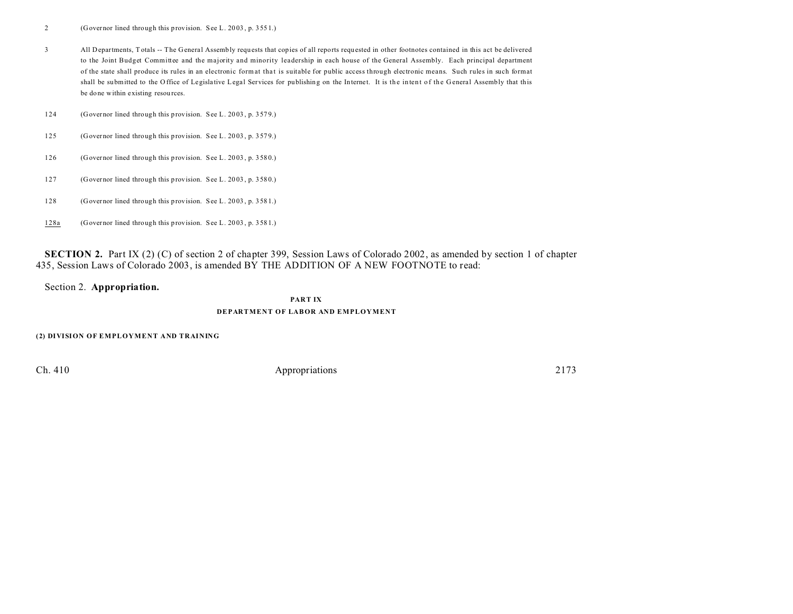2 (Governor lined through this provision. See L. 20 03 , p. 355 1.)

3 All Departments, T otals -- The General Assembly requ ests that copies of all reports requested in other footnotes contained in this act be delivered to the Joint Budget Committee and the majority and minority leadership in each house of the General Assembly. Each principal department of the state shall produce its rules in an electronic format tha t is suitable for public access through electronic means. Such rules in such format shall be submitted to the Office of Legislative Legal Services for publishing on the Internet. It is the intent of the General Assembly that this be done within existing resources.

124 (Governor lined through this provision. See L. 20 03 , p. 357 9.)

- 125 (Governor lined through this provision. See L. 20 03 , p. 357 9.)
- 126 (Governor lined through this provision. See L. 20 03 , p. 358 0.)
- 127 (Governor lined through this provision. See L. 20 03 , p. 358 0.)
- 128 (Governor lined through this provision. See L. 20 03 , p. 358 1.)
- 128a (Governor lined through this provision. See L. 20 03 , p. 358 1.)

**SECTION 2.** Part IX (2) (C) of section 2 of chapter 399, Session Laws of Colorado 2002, as amended by section 1 of chapter 435, Session Laws of Colorado 2003, is amended BY THE ADDITION OF A NEW FOOTNOTE to read:

Section 2. **Appropriation.**

### **PART IX**

### **DEPARTMENT OF LABOR AND EMPLOYMENT**

**(2) DIVISION OF EMPLOYMENT AND TRAINING**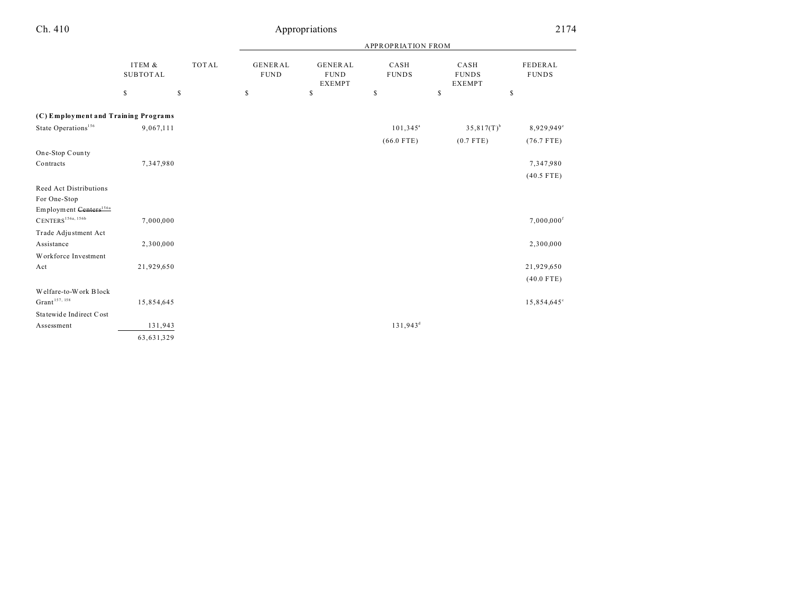| Ch. 410                                         | Appropriations            |              |                               |                                                |                      | 2174                                  |                          |  |
|-------------------------------------------------|---------------------------|--------------|-------------------------------|------------------------------------------------|----------------------|---------------------------------------|--------------------------|--|
|                                                 |                           |              | APPROPRIATION FROM            |                                                |                      |                                       |                          |  |
|                                                 | ITEM &<br><b>SUBTOTAL</b> | <b>TOTAL</b> | <b>GENERAL</b><br><b>FUND</b> | <b>GENERAL</b><br><b>FUND</b><br><b>EXEMPT</b> | CASH<br><b>FUNDS</b> | CASH<br><b>FUNDS</b><br><b>EXEMPT</b> | FEDERAL<br><b>FUNDS</b>  |  |
|                                                 | \$                        | $\mathsf S$  | $\mathbb S$                   | \$                                             | \$                   | $\mathbb{S}$                          | \$                       |  |
| (C) Employment and Training Programs            |                           |              |                               |                                                |                      |                                       |                          |  |
| State Operations <sup>156</sup>                 | 9,067,111                 |              |                               |                                                | $101,345^{\circ}$    | $35,817(T)^{b}$                       | 8,929,949°               |  |
|                                                 |                           |              |                               |                                                | $(66.0$ FTE)         | $(0.7$ FTE)                           | $(76.7$ FTE)             |  |
| One-Stop County                                 |                           |              |                               |                                                |                      |                                       |                          |  |
| Contracts                                       | 7,347,980                 |              |                               |                                                |                      |                                       | 7,347,980                |  |
|                                                 |                           |              |                               |                                                |                      |                                       | $(40.5$ FTE)             |  |
| Reed Act Distributions                          |                           |              |                               |                                                |                      |                                       |                          |  |
| For One-Stop                                    |                           |              |                               |                                                |                      |                                       |                          |  |
| Employment Centers <sup>156a</sup>              |                           |              |                               |                                                |                      |                                       |                          |  |
| $\text{CENTERS}^{\text{156a, 156b}}$            | 7,000,000                 |              |                               |                                                |                      |                                       | $7,000,000$ <sup>f</sup> |  |
| Trade Adjustment Act                            |                           |              |                               |                                                |                      |                                       |                          |  |
| Assistance                                      | 2,300,000                 |              |                               |                                                |                      |                                       | 2,300,000                |  |
| Workforce Investment                            |                           |              |                               |                                                |                      |                                       |                          |  |
| Act                                             | 21,929,650                |              |                               |                                                |                      |                                       | 21,929,650               |  |
|                                                 |                           |              |                               |                                                |                      |                                       | $(40.0$ FTE)             |  |
| Welfare-to-Work Block                           |                           |              |                               |                                                |                      |                                       |                          |  |
| $\mathrm{Grant}^{\scriptscriptstyle 157,\,158}$ | 15,854,645                |              |                               |                                                |                      |                                       | 15,854,645°              |  |
| Statewide Indirect Cost                         |                           |              |                               |                                                |                      |                                       |                          |  |
| Assessment                                      | 131,943                   |              |                               |                                                | $131,943^d$          |                                       |                          |  |
|                                                 | 63,631,329                |              |                               |                                                |                      |                                       |                          |  |